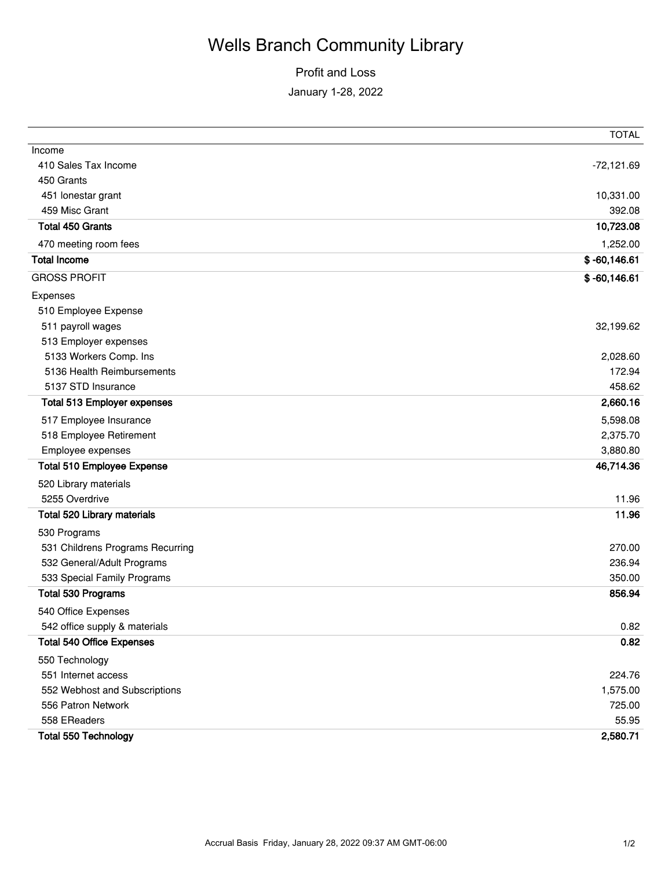## Wells Branch Community Library

## Profit and Loss January 1-28, 2022

|                                    | <b>TOTAL</b>   |
|------------------------------------|----------------|
| Income                             |                |
| 410 Sales Tax Income               | $-72,121.69$   |
| 450 Grants                         |                |
| 451 lonestar grant                 | 10,331.00      |
| 459 Misc Grant                     | 392.08         |
| <b>Total 450 Grants</b>            | 10,723.08      |
| 470 meeting room fees              | 1,252.00       |
| <b>Total Income</b>                | $$ -60,146.61$ |
| <b>GROSS PROFIT</b>                | $$ -60,146.61$ |
| Expenses                           |                |
| 510 Employee Expense               |                |
| 511 payroll wages                  | 32,199.62      |
| 513 Employer expenses              |                |
| 5133 Workers Comp. Ins             | 2,028.60       |
| 5136 Health Reimbursements         | 172.94         |
| 5137 STD Insurance                 | 458.62         |
| <b>Total 513 Employer expenses</b> | 2,660.16       |
| 517 Employee Insurance             | 5,598.08       |
| 518 Employee Retirement            | 2,375.70       |
| Employee expenses                  | 3,880.80       |
| <b>Total 510 Employee Expense</b>  | 46,714.36      |
| 520 Library materials              |                |
| 5255 Overdrive                     | 11.96          |
| Total 520 Library materials        | 11.96          |
| 530 Programs                       |                |
| 531 Childrens Programs Recurring   | 270.00         |
| 532 General/Adult Programs         | 236.94         |
| 533 Special Family Programs        | 350.00         |
| Total 530 Programs                 | 856.94         |
| 540 Office Expenses                |                |
| 542 office supply & materials      | 0.82           |
| <b>Total 540 Office Expenses</b>   | 0.82           |
| 550 Technology                     |                |
| 551 Internet access                | 224.76         |
| 552 Webhost and Subscriptions      | 1,575.00       |
| 556 Patron Network                 | 725.00         |
| 558 EReaders                       | 55.95          |
| <b>Total 550 Technology</b>        | 2,580.71       |